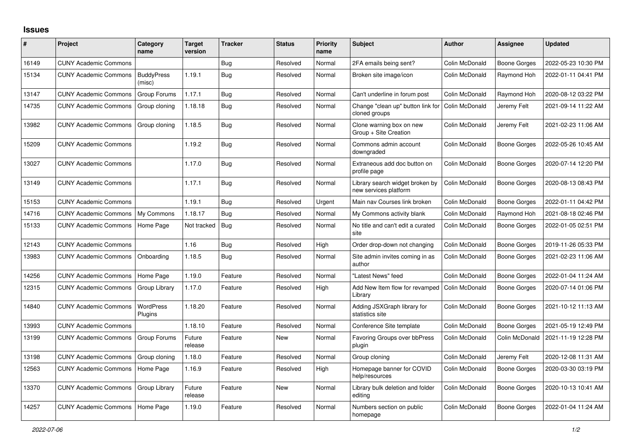## **Issues**

| ∦     | <b>Project</b>               | Category<br>name            | <b>Target</b><br>version | <b>Tracker</b> | <b>Status</b> | Priority<br>name | <b>Subject</b>                                           | <b>Author</b>  | <b>Assignee</b>     | <b>Updated</b>      |
|-------|------------------------------|-----------------------------|--------------------------|----------------|---------------|------------------|----------------------------------------------------------|----------------|---------------------|---------------------|
| 16149 | <b>CUNY Academic Commons</b> |                             |                          | <b>Bug</b>     | Resolved      | Normal           | 2FA emails being sent?                                   | Colin McDonald | <b>Boone Gorges</b> | 2022-05-23 10:30 PM |
| 15134 | <b>CUNY Academic Commons</b> | <b>BuddyPress</b><br>(misc) | 1.19.1                   | <b>Bug</b>     | Resolved      | Normal           | Broken site image/icon                                   | Colin McDonald | Raymond Hoh         | 2022-01-11 04:41 PM |
| 13147 | <b>CUNY Academic Commons</b> | Group Forums                | 1.17.1                   | Bug            | Resolved      | Normal           | Can't underline in forum post                            | Colin McDonald | Raymond Hoh         | 2020-08-12 03:22 PM |
| 14735 | <b>CUNY Academic Commons</b> | Group cloning               | 1.18.18                  | <b>Bug</b>     | Resolved      | Normal           | Change "clean up" button link for<br>cloned groups       | Colin McDonald | Jeremy Felt         | 2021-09-14 11:22 AM |
| 13982 | <b>CUNY Academic Commons</b> | Group cloning               | 1.18.5                   | Bug            | Resolved      | Normal           | Clone warning box on new<br>Group + Site Creation        | Colin McDonald | Jeremy Felt         | 2021-02-23 11:06 AM |
| 15209 | <b>CUNY Academic Commons</b> |                             | 1.19.2                   | Bug            | Resolved      | Normal           | Commons admin account<br>downgraded                      | Colin McDonald | <b>Boone Gorges</b> | 2022-05-26 10:45 AM |
| 13027 | <b>CUNY Academic Commons</b> |                             | 1.17.0                   | Bug            | Resolved      | Normal           | Extraneous add doc button on<br>profile page             | Colin McDonald | Boone Gorges        | 2020-07-14 12:20 PM |
| 13149 | <b>CUNY Academic Commons</b> |                             | 1.17.1                   | <b>Bug</b>     | Resolved      | Normal           | Library search widget broken by<br>new services platform | Colin McDonald | Boone Gorges        | 2020-08-13 08:43 PM |
| 15153 | <b>CUNY Academic Commons</b> |                             | 1.19.1                   | Bug            | Resolved      | Urgent           | Main nav Courses link broken                             | Colin McDonald | Boone Gorges        | 2022-01-11 04:42 PM |
| 14716 | <b>CUNY Academic Commons</b> | My Commons                  | 1.18.17                  | Bug            | Resolved      | Normal           | My Commons activity blank                                | Colin McDonald | Raymond Hoh         | 2021-08-18 02:46 PM |
| 15133 | <b>CUNY Academic Commons</b> | Home Page                   | Not tracked              | Bug            | Resolved      | Normal           | No title and can't edit a curated<br>site                | Colin McDonald | Boone Gorges        | 2022-01-05 02:51 PM |
| 12143 | <b>CUNY Academic Commons</b> |                             | 1.16                     | <b>Bug</b>     | Resolved      | High             | Order drop-down not changing                             | Colin McDonald | Boone Gorges        | 2019-11-26 05:33 PM |
| 13983 | <b>CUNY Academic Commons</b> | Onboarding                  | 1.18.5                   | Bug            | Resolved      | Normal           | Site admin invites coming in as<br>author                | Colin McDonald | Boone Gorges        | 2021-02-23 11:06 AM |
| 14256 | <b>CUNY Academic Commons</b> | Home Page                   | 1.19.0                   | Feature        | Resolved      | Normal           | 'Latest News" feed                                       | Colin McDonald | Boone Gorges        | 2022-01-04 11:24 AM |
| 12315 | <b>CUNY Academic Commons</b> | Group Library               | 1.17.0                   | Feature        | Resolved      | High             | Add New Item flow for revamped<br>Library                | Colin McDonald | <b>Boone Gorges</b> | 2020-07-14 01:06 PM |
| 14840 | <b>CUNY Academic Commons</b> | WordPress<br>Plugins        | 1.18.20                  | Feature        | Resolved      | Normal           | Adding JSXGraph library for<br>statistics site           | Colin McDonald | <b>Boone Gorges</b> | 2021-10-12 11:13 AM |
| 13993 | <b>CUNY Academic Commons</b> |                             | 1.18.10                  | Feature        | Resolved      | Normal           | Conference Site template                                 | Colin McDonald | <b>Boone Gorges</b> | 2021-05-19 12:49 PM |
| 13199 | <b>CUNY Academic Commons</b> | Group Forums                | Future<br>release        | Feature        | <b>New</b>    | Normal           | <b>Favoring Groups over bbPress</b><br>plugin            | Colin McDonald | Colin McDonald      | 2021-11-19 12:28 PM |
| 13198 | <b>CUNY Academic Commons</b> | Group cloning               | 1.18.0                   | Feature        | Resolved      | Normal           | Group cloning                                            | Colin McDonald | Jeremy Felt         | 2020-12-08 11:31 AM |
| 12563 | <b>CUNY Academic Commons</b> | Home Page                   | 1.16.9                   | Feature        | Resolved      | High             | Homepage banner for COVID<br>help/resources              | Colin McDonald | <b>Boone Gorges</b> | 2020-03-30 03:19 PM |
| 13370 | <b>CUNY Academic Commons</b> | Group Library               | Future<br>release        | Feature        | <b>New</b>    | Normal           | Library bulk deletion and folder<br>editing              | Colin McDonald | Boone Gorges        | 2020-10-13 10:41 AM |
| 14257 | <b>CUNY Academic Commons</b> | Home Page                   | 1.19.0                   | Feature        | Resolved      | Normal           | Numbers section on public<br>homepage                    | Colin McDonald | Boone Gorges        | 2022-01-04 11:24 AM |